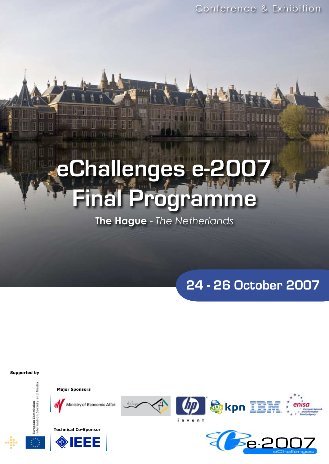# **eChallenges e-2007 Final Programme**

**The Hague** - *The Netherlands*

**24 - 26 October 2007**

**Supported by**

European Commission<br>nformation Society and Medi





Ministry of Economic Affair





**@kpn IBM** invent

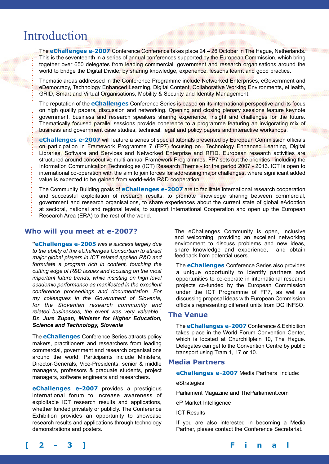# Introduction

The **eChallenges e-2007** Conference Conference takes place 24 – 26 October in The Hague, Netherlands. This is the seventeenth in a series of annual conferences supported by the European Commission, which bring together over 650 delegates from leading commercial, government and research organisations around the world to bridge the Digital Divide, by sharing knowledge, experience, lessons learnt and good practice.

Thematic areas addressed in the Conference Programme include Networked Enterprises, eGovernment and eDemocracy, Technology Enhanced Learning, Digital Content, Collaborative Working Environments, eHealth, GRID, Smart and Virtual Organisations, Mobility & Security and Identity Management.

The reputation of the **eChallenges** Conference Series is based on its international perspective and its focus on high quality papers, discussion and networking. Opening and closing plenary sessions feature keynote government, business and research speakers sharing experience, insight and challenges for the future. Thematically focused parallel sessions provide coherence to a programme featuring an invigorating mix of business and government case studies, technical, legal and policy papers and interactive workshops.

**eChallenges e-2007** will feature a series of special tutorials presented by European Commission officials on participation in Framework Programme 7 (FP7) focusing on Technology Enhanced Learning, Digital Libraries, Software and Services and Networked Enterprise and RFID. European research activities are structured around consecutive multi-annual Framework Programmes. FP7 sets out the priorities - including the Information Communication Technologies (ICT) Research Theme - for the period 2007 - 2013. ICT is open to international co-operation with the aim to join forces for addressing major challenges, where significant added value is expected to be gained from world-wide R&D cooperation.

The Community Building goals of **eChallenges e-2007** are to facilitate international research cooperation and successful exploitation of research results, to promote knowledge sharing between commercial, government and research organisations, to share experiences about the current state of global eAdoption at sectoral, national and regional levels, to support International Cooperation and open up the European Research Area (ERA) to the rest of the world.

# **Who will you meet at e-2007?**

**"eChallenges e-2005** *was a success largely due to the ability of the eChallenges Consortium to attract major global players in ICT related applied R&D and formulate a program rich in content, touching the cutting edge of R&D issues and focusing on the most important future trends, while insisting on high level academic performance as manifested in the excellent conference proceedings and documentation. For my colleagues in the Government of Slovenia, for the Slovenian research community and related businesses, the event was very valuable*." *Dr. Jure Zupan, Minister for Higher Education, Science and Technology, Slovenia*

The **eChallenges** Conference Series attracts policy makers, practitioners and researchers from leading commercial, government and research organisations around the world. Participants include Ministers, Director-Generals, Vice-Presidents, senior & middle managers, professors & graduate students, project managers, software engineers and researchers.

**eChallenges e-2007** provides a prestigious international forum to increase awareness of exploitable ICT research results and applications, whether funded privately or publicly. The Conference Exhibition provides an opportunity to showcase research results and applications through technology demonstrations and posters.

The eChallenges Community is open, inclusive and welcoming, providing an excellent networking environment to discuss problems and new ideas, share knowledge and experience, and obtain feedback from potential users.

The **eChallenges** Conference Series also provides a unique opportunity to identify partners and opportunities to co-operate in international research projects co-funded by the European Commission under the ICT Programme of FP7, as well as discussing proposal ideas with European Commission officials representing different units from DG INFSO.

# **The Venue**

The **eChallenges e-2007** Conference & Exhibition takes place in the World Forum Convention Center, which is located at Churchillplein 10, The Hague. Delegates can get to the Convention Centre by public transport using Tram 1, 17 or 10.

## **Media Partners**

**eChallenges e-2007** Media Partners include:

## eStrategies

Parliament Magazine and TheParliament.com

eP Market Intelligence

ICT Results

If you are also interested in becoming a Media Partner, please contact the Conference Secretariat.

**[ 2 - 3 ] Final**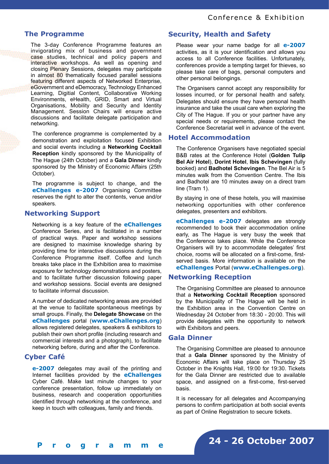# **The Programme**

The 3-day Conference Programme features an invigorating mix of business and government case studies, technical and policy papers and interactive workshops. As well as opening and closing Plenary Sessions, delegates may participate in almost 80 thematically focused parallel sessions featuring different aspects of Networked Enterprise, eGovernment and eDemocracy, Technology Enhanced Learning, Digitial Content, Collaborative Working Environments, eHealth, GRID, Smart and Virtual Organisations, Mobility and Security and Identity Management. Session Chairs will ensure active discussions and facilitate delegate participation and networking.

The conference programme is complemented by a demonstration and exploitation focused Exhibition and social events including a **Networking Cocktail Reception** kindly sponsored by the Municipality of The Hague (24th October) and a **Gala Dinner** kindly sponsored by the Ministry of Economic Affairs (25th October).

The programme is subject to change, and the **eChallenges e-2007** Organising Committee reserves the right to alter the contents, venue and/or speakers.

# **Networking Support**

Networking is a key feature of the **eChallenges** Conference Series, and is facilitated in a number of practical ways. Paper and workshop sessions are designed to maximise knowledge sharing by providing time for interactive discussions during the Conference Programme itself. Coffee and lunch breaks take place in the Exhibition area to maximise exposure for technology demonstrations and posters, and to facilitate further discussion following paper and workshop sessions. Social events are designed to facilitate informal discussion.

A number of dedicated networking areas are provided at the venue to facilitate spontaneous meetings by small groups. Finally, the **Delegate Showcase** on the **eChallenges** portal (**www.eChallenges.org**) allows registered delegates, speakers & exhibitors to publish their own short profile (including research and commercial interests and a photograph), to facilitate networking before, during and after the Conference.

# **Cyber Café**

**e-2007** delegates may avail of the printing and Internet facilities provided by the **eChallenges** Cyber Café. Make last minute changes to your conference presentation, follow up immediately on business, research and cooperation opportunities identified through networking at the conference, and keep in touch with colleagues, family and friends.

# **Security, Health and Safety**

Please wear your name badge for all **e-2007**  activities, as it is your identification and allows you access to all Conference facilities. Unfortunately, conferences provide a tempting target for thieves, so please take care of bags, personal computers and other personal belongings.

The Organisers cannot accept any responsibility for losses incurred, or for personal health and safety. Delegates should ensure they have personal health insurance and take the usual care when exploring the City of The Hague. If you or your partner have any special needs or requirements, please contact the Conference Secretariat well in advance of the event.

# **Hotel Accommodation**

The Conference Organisers have negotiated special B&B rates at the Conference Hotel (**Golden Tulip Bel Air Hotel**), **Dorint Hotel**, **Ibis Schevingen** (fully booked) and **Badhotel Schevingen**. The Bel Air is 5 minutes walk from the Convention Centre. The Ibis and Badhotel are 10 minutes away on a direct tram line (Tram 1).

By staying in one of these hotels, you will maximise networking opportunities with other conference delegates, presenters and exhibitors.

**eChallenges e-2007** delegates are strongly recommended to book their accommodation online early, as The Hague is very busy the week that the Conference takes place. While the Conference Organisers will try to accommodate delegates' first choice, rooms will be allocated on a first-come, firstserved basis. More information is available on the **eChallenges** Portal (**www.eChallenges.org**).

# **Networking Reception**

The Organising Committee are pleased to announce that a **Networking Cocktail Reception** sponsored by the Municipality of The Hague will be held in the Exhibition area in the Convention Centre on Wednesday 24 October from 18:30 - 20:00. This will provide delegates with the opportunity to network with Exhibitors and peers.

# **Gala Dinner**

The Organising Committee are pleased to announce that a **Gala Dinner** sponsored by the Ministry of Economic Affairs will take place on Thursday 25 October in the Knights Hall, 19:00 for 19:30. Tickets for the Gala Dinner are restricted due to available space, and assigned on a first-come, first-served basis.

It is necessary for all delegates and Accompanying persons to confirm participation at both social events as part of Online Registration to secure tickets.

**24 - 26 October 2007**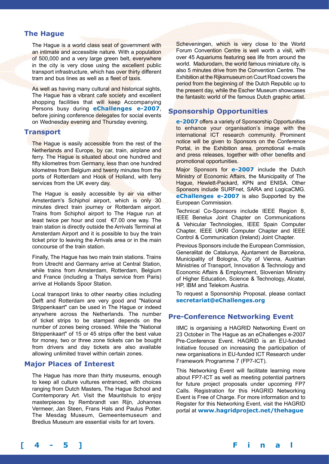# **The Hague**

The Hague is a world class seat of government with an intimate and accessible nature. With a population of 500,000 and a very large green belt, everywhere in the city is very close using the excellent public transport infrastructure, which has over thirty different tram and bus lines as well as a fleet of taxis.

As well as having many cultural and historical sights, The Hague has a vibrant cafe society and excellent shopping facilities that will keep Accompanying Persons busy during **eChallenges e-2007**, before joining conference delegates for social events on Wednesday evening and Thursday evening.

## **Transport**

The Hague is easily accessible from the rest of the Netherlands and Europe, by car, train, airplane and ferry. The Hague is situated about one hundred and fifty kilometres from Germany, less than one hundred kilometres from Belgium and twenty minutes from the ports of Rotterdam and Hook of Holland, with ferry services from the UK every day.

The Hague is easily accessible by air via either Amsterdam's Schiphol airport, which is only 30 minutes direct train journey or Rotterdam airport. Trains from Schiphol airport to The Hague run at least twice per hour and cost  $\epsilon$ 7.00 one way. The train station is directly outside the Arrivals Terminal at Amsterdam Airport and it is possible to buy the train ticket prior to leaving the Arrivals area or in the main concourse of the train station.

Finally, The Hague has two main train stations. Trains from Utrecht and Germany arrive at Central Station, while trains from Amsterdam, Rotterdam, Belgium and France (including a Thalys service from Paris) arrive at Hollands Spoor Station.

Local transport links to other nearby cities including Delft and Rotterdam are very good and "National Strippenkaart" can be used in The Hague or indeed anywhere across the Netherlands. The number of ticket strips to be stamped depends on the number of zones being crossed. While the "National Strippenkaart" of 15 or 45 strips offer the best value for money, two or three zone tickets can be bought from drivers and day tickets are also available allowing unlimited travel within certain zones.

## **Major Places of Interest**

The Hague has more than thirty museums, enough to keep all culture vultures entranced, with choices ranging from Dutch Masters, The Hague School and Comtemporary Art. Visit the Mauritshuis to enjoy masterpieces by Rembrandt van Rijn, Johannes Vermeer, Jan Steen, Frans Hals and Paulus Potter. The Mesdag Museum, Gemeentemuseum and Bredius Museum are essential visits for art lovers.

Scheveningen, which is very close to the World Forum Convention Centre is well worth a visit, with over 45 Aquariums featuring sea life from around the world. Madurodam, the world famous miniature city, is also 5 minutes drive from the Convention Centre. The Exhibition at the Rijksmuseum on Court Road covers the period from the beginning of the Dutch Republic up to the present day, while the Escher Museum showcases the fantasitc world of the famous Dutch graphic artist.

# **Sponsorship Opportunities**

**e-2007** offers a variety of Sponsorship Opportunities to enhance your organisation's image with the international ICT research community. Prominent notice will be given to Sponsors on the Conference Portal, in the Exhibition area, promotional e-mails and press releases, together with other benefits and promotional opportunities.

Major Sponsors for **e-2007** include the Dutch Ministry of Economic Affairs, the Municipality of The Hague, Hewlett-Packard, KPN and ENISA. Other Sponsors include SURFnet, SARA and LogicaCMG. **eChallenges e-2007** is also Supported by the European Commission.

Technical Co-Sponsors include IEEE Region 8, IEEE Benelux Joint Chapter on Communications & Vehicular Technologies, IEEE Spain Computer Chapter, IEEE UKRI Computer Chapter and IEEE Control & Communication (Ireland) Joint Chapter.

Previous Sponsors include the European Commission, Generalitat de Catalunya, Ajuntament de Barcelona, Municipality of Bologna, City of Vienna, Austrian Ministries of Transport, Innovation & Technology and Economic Affairs & Employment, Slovenian Ministry of Higher Education, Science & Technology, Alcatel, HP, IBM and Telekom Austria.

To request a Sponsorship Proposal, please contact **secretariat@eChallenges.org**

# **Pre-Conference Networking Event**

IIMC is organising a HAGRID Networking Event on 23 October in The Hague as an eChallenges e-2007 Pre-Conference Event. HAGRID is an EU-funded Initiative focused on increasing the participation of new organisations in EU-funded ICT Research under Framework Programme 7 (FP7-ICT).

This Networking Event will facilitate learning more about FP7-ICT as well as meeting potential partners for future project proposals under upcoming FP7 Calls. Registration for this HAGRID Networking Event is Free of Charge. For more information and to Register for this Networking Event, visit the HAGRID portal at **www.hagridproject.net/thehague**

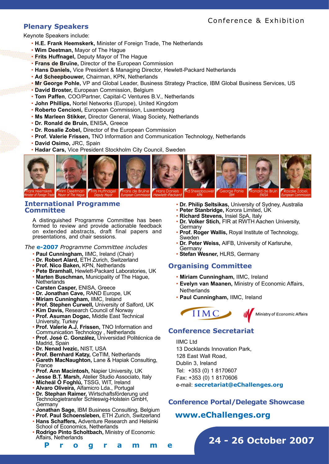# **Plenary Speakers**

Keynote Speakers include:

- **H.E. Frank Heemskerk,** Minister of Foreign Trade, The Netherlands
- **Wim Deetman,** Mayor of The Hague
- **Frits Huffnagel,** Deputy Mayor of The Hague
- **Frans de Bruïne,** Director of the European Commission
- **Hans Daniels,** Vice President & Managing Director, Hewlett-Packard Netherlands
- **Ad Scheepbouwer,** Chairman, KPN, Netherlands
- **Mr George Pohle,** VP and Global Leader, Business Strategy Practice, IBM Global Business Services, US
- **David Broster,** European Commission, Belgium
- **Tom Paffen**, COO/Partner, Capital-C Ventures B.V., Netherlands
- **John Phillips,** Nortel Networks (Europe), United Kingdom
- **Roberto Cencioni,** European Commission, Luxembourg
- **Ms Marleen Stikker,** Director General, Waag Society, Netherlands
- **Dr. Ronald de Bruin,** ENISA, Greece
- **Dr. Rosalie Zobel,** Director of the European Commission
- **Prof. Valerie Frissen,** TNO Information and Communication Technology, Netherlands
- **David Osimo,** JRC, Spain
- **Hadar Cars,** Vice President Stockholm City Council, Sweden



# **International Programme Committee**

A distinguished Programme Committee has been formed to review and provide actionable feedback on extended abstracts, draft final papers and presentations, and chair sessions.

*The* **e-2007** *Programme Committee includes*

- **Paul Cunningham,** IIMC, Ireland (Chair)
- **Dr. Robert Alard,** ETH Zurich, Switzerland
- **Prof. Nico Baken,** KPN, Netherlands
- **Pete Bramhall,** Hewlett-Packard Laboratories, UK
- **Marten Buschman,** Municipality of The Hague,
- **Netherlands** • **Carsten Casper,** ENISA, Greece
- **Dr. Jonathan Cave,** RAND Europe, UK
- **Miriam Cunningham,** IIMC, Ireland
- **Prof. Stephen Curwell,** University of Salford, UK
- **Kim Davis,** Research Council of Norway
- **Prof. Asuman Dogac,** Middle East Technical University, Turkey
- **Prof. Valerie A.J. Frissen,** TNO Information and Communication Technology , Netherlands
- **Prof. José C. González,** Universidad Politécnica de Madrid, Spain
- **Dr. Nenad Ivezic,** NIST, USA
- **Prof. Bernhard Katzy,** CeTIM, Netherlands
- **Gareth MacNaughton,** Lane & Hapiak Consulting, France
- **Prof. Ann Macintosh,** Napier University, UK
- **Jesse B.T. Marsh,** Atelier Studio Associato, Italy
- **Mícheál Ó Foghlú,** TSSG, WIT, Ireland
- **Alvaro Oliveira,** Alfamicro Lda., Portugal
- **Dr. Stephan Raimer,** Wirtschaftsförderung und Technologietransfer Schleswig-Holstein GmbH, **Germany**
- **Jonathan Sage,** IBM Business Consulting, Belgium
- **Prof. Paul Schoensleben,** ETH Zurich, Switzerland
- **Hans Schaffers,** Adventure Research and Helsinki School of Economics, Netherlands
- **Rodrigo Pinto Scholtbach,** Ministry of Economic Affairs, Netherlands
- **Dr. Philip Seltsikas,** University of Sydney, Australia
- **Peter Stanbridge,** Korora Limited, UK
- **Richard Stevens,** Insiel SpA, Italy
- **Dr. Volker Stich,** FIR at RWTH Aachen University, Germany
- **Prof. Roger Wallis,** Royal Institute of Technology, Sweden
- **Dr. Peter Weiss,** AIFB, University of Karlsruhe, **Germany**
- **Stefan Wesner,** HLRS, Germany

# **Organising Committee**

- **Miriam Cunningham,** IIMC, Ireland
- **Evelyn van Maanen,** Ministry of Economic Affairs, **Netherlands**
- **Paul Cunningham,** IIMC, Ireland



# **Conference Secretariat**

IIMC Ltd 13 Docklands Innovation Park, 128 East Wall Road, Dublin 3, Ireland Tel: +353 (0) 1 8170607 Fax: +353 (0) 1 8170606 e-mail: **secretariat@eChallenges.org**

# **Conference Portal/Delegate Showcase**

# **www.eChallenges.org**

**24 - 26 October 2007**

**[ 4 - 5 ] F i n a l P r o g r a m m e**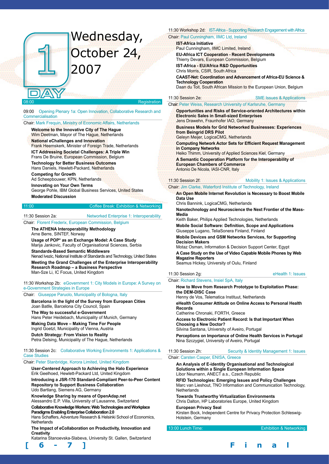# Wednesday, October 24, 2007

#### Registration

09:00 Opening Plenary 1a: Open Innovation, Collaborative Research and **Commercialisation** 

Chair: Mark Frequin, Ministry of Economic Affairs, Netherlands

**Welcome to the Innovative City of The Hague** Wim Deetman, Mayor of The Hague, Netherlands

**National eChallenges and Innovation** Frank Heemskerk, Minister of Foreign Trade, Netherlands

**ICT Addressing Societal Challenges: A Triple Win**

Frans De Bruine, European Commission, Belgium **Technology for Better Business Outcomes**

Hans Daniels, Hewlett-Packard, Netherlands

**Competing for Growth**

Ad Scheepbouwer, KPN, Netherlands

**Innovating on Your Own Terms** George Pohle, IBM Global Business Services, United States **Moderated Discussion**

11:00 Coffee Break: Exhibition & Networking

11:30 Session 2a: Networked Enterprise 1: Interoperability

Chair: Florent Frederix, European Commission, Belgium **The ATHENA Interoperability Methodology**

Arne Berre, SINTEF, Norway

**Usage of POP\* as an Exchange Model: A Case Study** Marija Jankovic, Faculty of Organisational Sciences, Serbia

**Standards-Based Semantic Middleware**

Nenad Ivezic, National Institute of Standards and Technology, United States **Meeting the Grand Challenges of the Enterprise Interoperability Research Roadmap – a Business Perspective** Man-Sze Li, IC Focus, United Kingdom

11:30 Workshop 2b: eGovernment 1: City Models in Europe: A Survey on e-Government Strategies in Europe

#### Chair: Giuseppe Paruolo, Municipality of Bologna, Italy

**Barcelona in the light of the Survey from European Cities** Joan Batlle, Barcelona City Council, Spain **The Way to successful e-Government** Hans Peter Heidebach, Municipality of Munich, Germany **Making Data Move – Making Time For People** Ingrid Goetzl, Municipality of Vienna, Austria

**Dutch Strategy: From Vision to Reality** Petra Delsing, Municipality of The Hague, Netherlands

#### 11:30 Session 2c: Collaborative Working Environments 1: Applications & Case Studies

Chair: Peter Stanbridge, Korora Limited, United Kingdom

**User-Centered Approach to Achieving the Halo Experience** Erik Geelhoed, Hewlett-Packard Ltd, United Kingdom **Introducing a JSR-170 Standard-Compliant Peer-to-Peer Content Repository to Support Business Collaboration** Udo Bartlang, Siemens AG, Germany

**Knowledge Sharing by means of OpenAdap.net**

Alessandro E.P. Villa, University of Lausanne, Switzerland

**Collaborative Knowledge Workers: Web Technologies and Workplace Paradigms Enabling Enterprise Collaboration 2.0**

Hans Schaffers, Adventure Research & Helsinki School of Economics, **Netherlands** 

**The Impact of eCollaboration on Productivity, Innovation and Creativity**

Katarina Stanoevska-Slabeva, University St. Gallen, Switzerland

11:30 Workshop 2d: IST-Africa - Supporting Research Engagement with Africa Chair: Paul Cunningham, IIMC Ltd, Ireland

**IST-Africa Initiative**

Paul Cunningham, IIMC Limited, Ireland

**EU-Africa ICT Cooperation - Recent Developments** 

Thierry Devars, European Commission, Belgium

**IST-Africa - EU/Africa R&D Opportunities**

Chris Morris, CSIR, South Africa

**CAAST-Net: Coordination and Advancement of Africa-EU Science & Technology Cooperation** 

Daan du Toit, South African Mission to the European Union, Belgium

11:30 Session 2e: SME Issues & Applications

# Chair: Peter Weiss, Research University of Karlsruhe, Germany

**Opportunities and Risks of Service-oriented Architectures within Electronic Sales in Small-sized Enterprises** Jens Drawehn, Fraunhofer IAO, Germany

**Business Models for Grid Networked Businesses: Experiences from Beingrid DRS Pilot**

Geleyn Meijer, LogicaCMG, Netherlands

**Computing Network Actor Sets for Efficient Request Management in Company Networks** 

Heiko Thimm, University of Applied Sciences Kiel, Germany **A Semantic Cooperation Platform for the Interoperability of European Chambers of Commerce**

Antonio De Nicola, IASI-CNR, Italy

## 11:30 Session 2f: **Mobility 1: Issues & Applications**

#### Chair: Jim Clarke, Waterford Institute of Technology, Ireland

**An Open Mobile Internet Revolution is Necessary to Boost Mobile Data Use**

Chris Bannink, LogicaCMG, Netherlands

**Nanotechnology and Neuroscience the Next Frontier of the Mass-Media**

Keith Baker, Philips Applied Technologies, Netherlands

**Mobile Social Software: Definition, Scope and Applications** Giuseppe Lugano, TeliaSonera Finland, Finland

**Mobile Devices and GSM Networks Services, for Supporting Decision Makers**

Motaz Osman, Information & Decision Support Center, Egypt

**A Case Study on the Use of Video Capable Mobile Phones by Web Magazine Reporters**

Seamus Hickey, University of Oulu, Finland

11:30 Session 2g: eHealth 1: Issues

Chair: Richard Stevens, Insiel SpA, Italy

**How to Move from Research Prototype to Exploitation Phase:** 

**the DEM-DISC Case**

Henny de Vos, Telematica Instituut, Netherlands

**eHealth Consumer Attitude on Online Access to Personal Health Records**

Catherine Chronaki, FORTH, Greece

**Access to Electronic Patient Record: Is that Important When Choosing a New Doctor?**

Silvina Santana, University of Aveiro, Portugal

**Perceptions on Importance of Online Health Services in Portugal** Nina Szczygiel, University of Aveiro, Portugal

11:30 Session 2h: Security & Identity Management 1: Issues Chair: Carsten Casper, ENISA, Greece

**An Analysis of E-identity Organisational and Technological Solutions within a Single European Information Space** Libor Neumann, ANECT a.s., Czech Republic

**RFID Technologies: Emerging Issues and Policy Challenges** Marc van Lieshout, TNO Information and Communication Technology, **Netherlands** 

**Towards Trustworthy Virtualization Environments** Chris Dalton, HP Laboratories Europe, United Kingdom

**European Privacy Seal**

Kirsten Bock, Independent Centre for Privacy Protection Schleswig-Holstein, Germany

13:00 Lunch Time: Exhibition & Networking

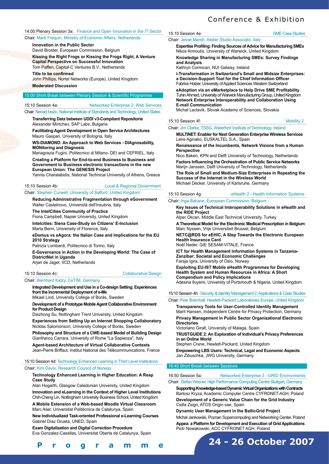#### 14:00 Plenary Session 3a: Finance and Open Innovation in the IT Sector

Chair: Mark Frequin, Ministry of Economic Affairs, Netherlands

**Innovation in the Public Sector**

David Broster, European Commission, Belgium **Kissing the Right Frogs or Kissing the Frogs Right, A Venture** 

**Capital Perspective on Successful Innovation** Tom Paffen, Capital-C Ventures B.V., Netherlands

**Title to be confirmed**

John Phillips, Nortel Networks (Europe), United Kingdom **Moderated Discussion** 

# 15:00 Short Break between Plenary Session & Scientific Programme

# 15:10 Session 4a: Networked Enterprise 2: Web Services

Chair: Nenad Ivezic, National Institute of Standards and Technology, United States **Transferring Data between UDDI v3-Compliant Repositorie**

Alexander Mintchev, SAP Labs, Bulgaria

**Facilitating Agent Development in Open Service Architectures**  Mauro Gaspari, University of Bologna, Italy

**WS-DIAMOND: An Approach to Web Services - DIAgnosability, MONitoring and Diagnosis**

Mariagrazia Fugini, Politecnico di Milano- DEI and CEFRIEL, Italy **Creating a Platform for End-to-end Business to Business and Government to Business electronic transactions in the new European Union: The GENESIS Project** 

Yannis Charalabidis, National Technical University of Athens, Greece

15:10 Session 4b: Local & Regional Government

Chair: Stephen Curwell, University of Salford, United Kingdom

**Reducing Administrative Fragmentation through eGovernment** Walter Castelnovo, Università dell'Insubria, Italy

**The IntelCities Community of Practice**

Fiona Campbell, Napier University, United Kingdom **Intelcities: Siena Case-Study on Citizens' E-Inclusion** Marta Berni, Univerisity of Florence, Italy

#### **eDomus vs eAgora: the Italian Case and Implications for the EU 2010 Strategy**

Patrizia Lombardi, Politecnico di Torino, Italy

**E-Governance in Action in the Developing World: The Case of DistrictNet in Uganda** Arjan de Jager, IICD, Netherlands

## 15:10 Session 4c: Collaborative Design

Chair: Bernhard Katzy, CeTIM, Germany

#### **Integrated Development and Use in a Co-design Setting: Experiences from the Incremental Deployment of e-Me**

Mikael Lind, University College of Borås, Sweden

#### **Development of a Prototype Mobile Agent Collaborative Environment for Product Design**

Daizhong Su, Nottingham Trent University, United Kingdom

**Experiences from Setting Up an Internet Shopping Collaboratory** Nicklas Salomonson, University College of Borås, Sweden

**Philosophy and Structure of a CWE-based Model of Building Design** Gianfranco Carrara, University of Rome "La Sapienza", Italy

**Agent-based Architecture of Virtual Collaborative Contexts** Jean-Pierre Briffaut, Institut National des Télécommunications, France

#### 15:10 Session 4d: Technology Enhanced Learning in Third Level Institutions Chair: Kim Davis, Research Council of Norway

#### **Technology Enhanced Learning in Higher Education: A Reap Case Study**

Alan Hogarth, Glasgow Caledonian University, United Kingdom **Innovation and eLearning in the Context of Higher Level Institutions**  Chih-Cheng Lin, Nottingham University Business School, United Kingdom

**A Mobile Extension of a Web-based Moodle Virtual Classroom** Marc Alier, Universitat Politècnica de Catalunya, Spain

**New Individualized Task-oriented Professional e-Learning Courses** Gabriel Díaz Orueta, UNED, Spain

**Exam Digitalization and Digital Correction Procedure** Eva Gonzalez-Casellas, Universitat Oberta de Catalunya, Spain

### 15:10 Session 4e: SME Case Studies

 $15:10$  Session 4f

Chair: Jesse Marsh, Atelier Studio Associato, Italy

**Expertise Profiling: Finding Sources of Advice for Manufacturing SMEs** Nikos Armoutis, University of Warwick, United Kingdom

Conference & Exhibition

**Knowledge Sharing in Manufacturing SMEs: Survey Findings and Analysis** 

Kathryn Cormican, NUI Galway, Ireland

**i-Transformation in Switzerland's Small and Midsize Enterprises: a Decision-Support Tool for the Chief Information Officer** Fabrice Holzer, University of Applied Sciences Western Switzerland

**eAdoption via an eMarketplace to Help Drive SME Profitability** Tuhin Ahmed, University of Warwick Manufacturing Group, United Kingdom **Network Enterprise Interoperability and Collaboration Using E-mail Communication** 

Michal Laclavik, Slovak Academy of Sciences, Slovakia

|  |  | Mobility 2 |
|--|--|------------|
|  |  |            |
|  |  |            |

Chair: Jim Clarke, TSSG, Waterford Institute of Technology, Ireland

**MULTINET: Enabler for Next Generation Enterprise Wireless Services**  Leire Aginako, EUSKALTEL S.A., Spain

**Renaissance of the Incumbents, Network Visions from a Human Perspective**

Nico Baken, KPN and Delft University of Technology, Netherlands

**Factors Influencing the Orchestration of Public Service Networks** Marijn Janssen, Delft University of Technology, Netherlands

**The Role of Small and Medium-Size Enterprises in Repeating the Success of the Internet in the Wireless World** Michael Decker, University of Karlsruhe, Germany

15:10 Session 4g: eHealth 2 - Health Information Systems

#### Chair: Inga Bakane, European Commission, Belgium

**Key Issues of Technical Interoperability Solutions in eHealth and the RIDE Project**

Alper Okcan, Middle East Technical University, Turkey

**A Theoretical Model for the Electronic Medical Prescription in Belgium**  Marc Nyssen, Vrije Universiteit Brussel, Belgium

**NETC@RDS for eEHIC, A Step Towards the Electronic European Health Insurance Card** 

Noël Nader, GIE SESAM-VITALE, France

**ICT for Health Management Information Systems in Tanzania-Zanzibar: Societal and Economic Challenges** Faraja Igira, University of Oslo, Norway

**Exploiting EU-IST Mobile eHealth Programmes for Developing Health System and Human Resources in Africa: A Short Compendium and Policy Implications** Adesina Iluyemi, University of Portsmouth & Nigeria, United Kingdom

15:10 Session 4h: Security & Identity Management 2: Applications & Case Studies Chair: Pete Bramhall, Hewlett-Packard Laboratories Europe, United Kingdom

**Transparency Tools for User-Controlled Identity Management** Marit Hansen, Independent Centre for Privacy Protection, Germany

**Privacy Management in Public Sector Organizational Electronic Directories**

Victoriano Giralt, University of Malaga, Spain

**TRUSTGUIDE 2: An Exploration of Individual's Privacy Preferences in an Online World**

Stephen Crane, Hewlett-Packard, United Kingdom

**Empowering LBS Users: Technical, Legal and Economic Aspects** Jan Zibuschka, JWG University, Germany

#### 16:40 Short Break between Sessions

16:50 Session 5a: Networked Enterprise 3 - GRID Environments Chair: Stefan Wesner, High Performance Computing Centre Stuttgart, Germany

**Supporting Knowledge-based Dynamic Virtual Organizations with Contracts** Bartosz Kryza, Academic Computer Centre CYFRONET-AGH, Poland **Development of a Generic Value Chain for the Grid Industry**  Csilla Zsigri, ATOS Origin sae, Spain

**Dynamic User Management in the BalticGrid Project**

Michal Jankowski, Poznan Supercomputing and Networking Center, Poland **Appea: a Platform for Development and Execution of Grid Applications**  Piotr Nowakowski, ACC CYFRONET AGH, Poland

# **24 - 26 October 2007**

**[ 6 - 7 ] F i n a l P r o g r a m m e**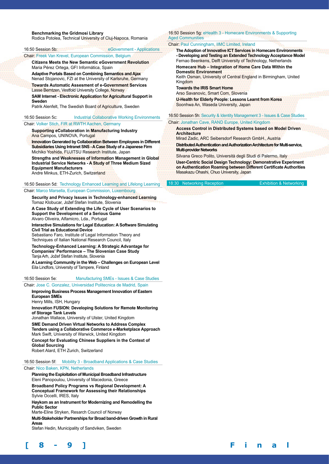#### **Benchmarking the Gridmosi Library**

Rodica Potolea, Technical University of Cluj-Napoca, Romania

#### 16:50 Session 5b: eGovernment - Applications

#### Chair: Freek Van Krevel, European Commission, Belgium

**Citizens Meets the New Semantic eGovernment Revolution** Maria Pérez Ortega, GFI Informática, Spain

**Adaptive Portals Based on Combining Semantics and Ajax** Nenad Stojanovic, FZI at the University of Karlsruhe, Germany

**Towards Automatic Assesment of e-Government Services** Lasse Berntzen, Vestfold University College, Norway

**SAM Internet - Electronic Application for Agricultural Support in Sweden**

Patrik Alenfelt, The Swedish Board of Agriculture, Sweden

16:50 Session 5c: Industrial Collaborative Working Environments

#### Chair: Volker Stich, FIR at RWTH Aachen, Germany

**Supporting eCollaboration in Manufacturing Industry** Ana Campos, UNINOVA, Portugal

**Innovation Generated by Collaboration Between Employees in Different Subsidiaries Using Intranet SNS - A Case Study of a Japanese Firm**  Michiko Yoshida, FUJITSU Research Institute, Japan

**Strengths and Weaknesses of Information Management in Global Industrial Service Networks - A Study of Three Medium Sized Equipment Manufacturers**

Andre Minkus, ETH-Zurich, Switzerland

#### 16:50 Session 5d: Technology Enhanced Learning and Lifelong Learning Chair: Marco Marsella, European Commission, Luxembourg

**Security and Privacy Issues in Technology-enhanced Learning** Tomaz Klobucar, Jožef Stefan Institute, Slovenia

**A Case Study of Extending the Life Cycle of User Scenarios to Support the Development of a Serious Game**

Alvaro Oliveira, Alfamicro, Lda., Portugal

**Interactive Simulations for Legal Education: A Software Simulating Civil Trial as Educational Device**

Sebastiano Faro, Institute of Legal Information Theory and Techniques of Italian National Research Council, Italy

**Technology-Enhanced Learning: A Strategic Advantage for Companies' Performance – The Slovenian Case Study**  Tanja Arh, Jožef Stefan Institute, Slovenia

**A Learning Community in the Web – Challenges on European Level**  Eila Lindfors, University of Tampere, Finland

16:50 Session 5e: Manufacturing SMEs - Issues & Case Studies

#### Chair: Jose C. Gonzalez, Universidad Politecnica de Madrid, Spain

#### **Improving Business Process Management Innovation of Eastern European SMEs**

Henry Mills, ISH, Hungary

**Innovation FUSION: Developing Solutions for Remote Monitoring of Storage Tank Levels** 

Jonathan Wallace, University of Ulster, United Kingdom

**SME Demand Driven Virtual Networks to Address Complex Tenders using a Collaborative Commerce e-Marketplace Approach**  Mark Swift, University of Warwick, United Kingdom

**Concept for Evaluating Chinese Suppliers in the Context of Global Sourcing**

Robert Alard, ETH Zurich, Switzerland

#### 16:50 Session 5f: Mobility 3 - Broadband Applications & Case Studies Chair: Nico Baken, KPN, Netherlands

**Planning the Exploitation of Municipal Broadband Infrastructure** Eleni Panopoulou, University of Macedonia, Greece

**Broadband Policy Programs vs Regional Development: A Conceptual Framework for Assessing their Relationships** Sylvie Occelli, IRES, Italy

**Høykom as an Instrument for Modernizing and Remodelling the Public Sector** 

Marte-Eline Stryken, Resarch Council of Norway

**Multi-Stakeholder Partnerships for Broad band-driven Growth in Rural Areas**

Stefan Hedin, Municipality of Sandviken, Sweden

#### 16:50 Session 5g: eHealth 3 - Homecare Environments & Supporting Aged Communities

#### Chair: Paul Cunningham, IIMC Limited, Ireland

| The Adoption of Innovative ICT Services in Homecare Environments<br>- Developing and Testing an Extended Technology Acceptance Model<br>Fernao Beenkens, Delft University of Technology, Netherlands |
|------------------------------------------------------------------------------------------------------------------------------------------------------------------------------------------------------|
| Homecare Hub - Integration of Home Care Data Within the<br><b>Domestic Environment</b><br>Keith Osman, University of Central England in Birmingham, United<br>Kingdom                                |
| <b>Towards the IRIS Smart Home</b><br>Arso Savanovic, Smart Com, Slovenia                                                                                                                            |
| <b>U-Health for Elderly People: Lessons Learnt from Korea</b><br>Soonhwa An, Waseda University, Japan                                                                                                |
| 16:50 Session 5h: Security & Identity Management 3 - Issues & Case Studies                                                                                                                           |

#### Chair: Jonathan Cave, RAND Europe, United Kingdom

**Access Control in Distributed Systems based on Model Driven Architecture**

Mirad Zadic, ARC Seibersdorf Research GmbH., Austria

**Distributed Authentication and Authorization Architecture for Multi-service, Multi-provider Networks**

#### Silvana Greco Polito, Università degli Studi di Palermo, Italy **User-Centric Social Design Technology: Demonstrative Experiment on Authentication Roaming between Different Certificate Authorities**

Masakazu Ohashi, Chuo University, Japan 18:30 Networking Reception Exhibition & Networking

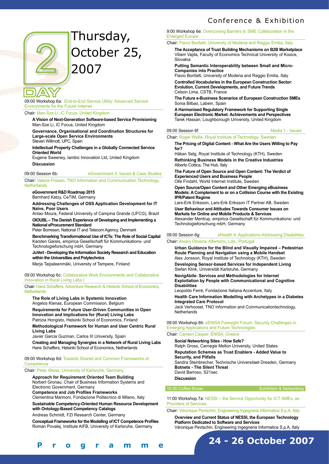

# Thursday, October 25, 2007

#### 09:00 Workshop 6a: End-to-End Service Utility: Advanced Service Environments for the Future Internet

#### Chair: Man-Sze Li, IC Focus, United Kingdom

**A Vision of Next-Generation Software-based Service Provisioning** Man-Sze Li, IC Focus, United Kingdom

**Governance, Organisational and Coordination Structures for Large-scale Open Service Environments**

Steven Willmott, UPC, Spain

**Intellectual Property Challenges in a Globally Connected Service Oriented World**

Eugene Sweeney, Iambic Innovation Ltd, United Kingdom **Discussion**

#### 09:00 Session 6b: eGovernment 4: Issues & Case Studies

Chair: Valerie Frissen, TNO Information and Communication Technology, **Netherlands** 

#### **eGovernment R&D Roadmap 2015**

Bernhard Katzy, CeTIM, Germany

**Addressing Challenges of OSS Application Development for IT Naïve, Poor Users**

Antao Moura, Federal University of Campina Grande (UFCG), Brazil **OIOUBL – The Danish Experience of Developing and Implementing a National eProcurement Standard** 

Peter Borresen, National IT and Telecom Agency, Denmark

**Benchmarking Transformational Use of ICTs: The Role of Social Capital** Karsten Gareis, empirica Gesellschaft für Kommunikations- und Technologieforschung mbH, Germany

**JuVert - Developing the Information Society Research and Education within the Universities and Polytechnics**

Merja Taipaleenmäki, University of Tampere, Finland

#### 09:00 Workshop 6c: Collaborative Work Environments and Collaborative Innovation in Rural Living Labs I

Chair: Hans Schaffers, Adventure Research & Helsinki School of Economics, **Netherlands** 

**The Role of Living Labs in Systemic Innovation** Angelos Ktenas, European Commission, Belgium

**Requirements for Future User-Driven Communities in Open Innovation and Implications for (Rural) Living Labs**  Patrizia Hongisto, Helsinki School of Economics, Finland

**Methodological Framework for Human and User Centric Rural Living Labs**

Javier Garcia Guzman, Carlos III University, Spain

**Creating and Managing Synergies in a Network of Rural Living Labs**  Hans Schaffers, Helsinki School of Economics, Netherlands

#### 09:00 Workshop 6d: Towards Shared and Common Frameworks of **Competence**

Chair: Peter Weiss, University of Karlsruhe, Germany

## **Approach for Requirement Oriented Team Building**

Norbert Gronau, Chair of Business Information Systems and Electronic Government, Germany

**Competence and Job Profiles Frameworks** 

Clementina Marinoni, Fondazione Politecnico di Milano, Italy

**Sustainable Competency-Oriented Human Resource Development with Ontology-Based Competency Catalogs**

Andreas Schmidt, FZI Research Center, Germany

**Conceptual Frameworks for the Modelling of ICT Competence Profiles**

Roman Povalej, Institute AIFB, University of Karlsruhe, Germany

#### 9:00 Workshop 6e: Overcoming Barriers to SME Collaboration in the Enlarged Europe

Chair: Flavio Bonfatti, University of Modena and Reggio Emilia, Italy

**The Acceptance of Trust Building Mechanisms on B2B Marketplace** Viliam Vajda, Faculty of Economics Technical University of Kosice, Slovakia

**Putting Semantic Interoperability between Small and Micro-Companies into Practice**

Flavio Bonfatti, University of Modena and Reggio Emilia, Italy **Controlled Vocabularies in the European Construction Sector: Evolution, Current Developments, and Future Trends** Celson Lima, CSTB, France

**The Future e-Business Scenarios of European Construction SMEs**  Sonia Bilbao, Labein, Spain

**A Harmonised Regulatory Framework for Supporting Single European Electronic Market: Achievements and Perspectives** Tarek Hassan, Loughborough University, United Kingdom

#### 09:00 Session 6f: Media 1 - Issues

Chair: Roger Wallis, Royal Institute of Technology, Sweden

#### **The Pricing of Digital Content - What Are the Users Willing to Pay for?**

Håkan Selg, Royal Institute of Technology (KTH), Sweden **Rethinking Business Models in the Creative Industries** Alberto Cottica, The Hub, Italy

**The Future of Open Source and Open Content: The Verdict of Experienced Users and Business People** 

Olle Findahl, World Internet Institute, Sweden

**Open Source/Open Content and Other Emerging eBusiness Models: A Complement to or on a Collision Course with the Existing IPR/Patent Regime** 

Lars-Erik Eriksson, Lars-Erik Eriksson IT Partner AB, Sweden **User Behaviour and Attitudes Towards Consumer Issues on** 

**Markets for Online and Mobile Products & Services** 

Alexander Mentrup, empirica Gesellschaft für Kommunikations- und Technologieforschung mbH, Germany

#### 09:00 Session 6g: eHealth 4: Applications Addressing Disabilities

#### Chair: Alvaro Oliveira, Alfamicro, Lda., Portugal

**Urban Guidance for the Blind and Visually Impaired – Pedestrian Route Planning and Navigation using a Mobile Handset** Alex Jonsson, Royal Institute of Technology (KTH), Sweden

**Developing Sensor-based Services for Independent Living** Stefan Klink, Universität Karlsruhe, Germany

**NavigAbile: Services and Methodologies for Internet Exploitation by People with Communicational and Cognitive Disabilities**

Leopoldo Ferrè, Fondazione Italiana Accenture, Italy

**Health Care Information Modelling with Archetypes in a Diabetes Integrated Care Protocol** Jack Verhoosel, TNO Information and Communicationtechnology,

**Netherlands** 

#### 09:00 Workshop 6h: eENISA Foresight Forum: Security Challenges in Emerging Applications and Future Technologies

#### Chair: Carsten Casper, ENISA, Greece

**Social Networking Sites - How Safe?**  Ralph Gross, Carnegie Mellon University, United States **Reputation Schemes as Trust Enablers - Added Value to Security, and Pitfalls** Sandra Steinbrecher, Technische Universitaet Dresden, Germany **Botnets - The Silent Threat** David Barroso, S21sec **Discussion**

10:30 Coffee Break: Exhibition & Networking

11:00 Workshop 7a: NESSI – the Service Opportunity for ICT SMEs, as Providers of Services

Chair: Véronique Pevtschin, Engineering Ingegneria Informatica S.p.A, Italy

**Overview and Current Status of NESSI, the European Technology Platform Dedicated to Software and Services**

Véronique Pevtschin, Engineering Ingegneria Informatica S.p.A, Italy



**[ 8 - 9 ] F i n a l P r o g r a m m e**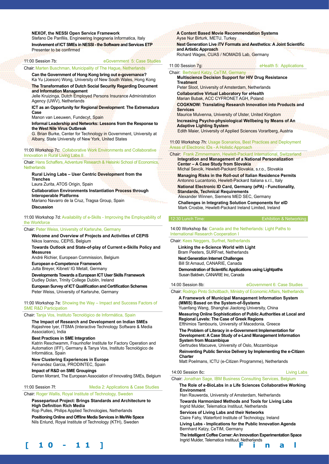#### **NEXOF, the NESSI Open Service Framework**

Stefano De Panfilis, Engineering Ingegneria Informatica, Italy

**Involvement of ICT SMEs in NESSI - the Software and Services ETP** Presenter to be confirmed

## 11:00 Session 7b: eGovernment 5: Case Studies

#### Chair: Marten Buschman, Municipality of The Hague, Netherlands

**Can the Government of Hong Kong bring out e-governance?** Ka Yu (Joeson) Wong, University of New South Wales, Hong Kong **The Transformation of Dutch Social Security Regarding Document and Information Management**

Jelle Kruizinga, Dutch Employed Persons Insurance Administration Agency (UWV), Netherlands

#### **ICT as an Opportunity for Regional Development: The Extremadura Case**

Manon van Leeuwen, Fundecyt, Spain

#### **Informal Leadership and Networks: Lessons from the Response to the West Nile Virus Outbreak**

G. Brian Burke, Center for Technology in Government, University at Albany, State University of New York, United States

11:00 Workshop 7c: Collaborative Work Environments and Collaborative Innovation in Rural Living Labs II

#### Chair: Hans Schaffers, Adventure Research & Helsinki School of Economics, **Netherlands**

**Rural Living Labs – User Centric Development from the Trenches**

Laura Zurita, ATOS Origin, Spain

**Collaboration Environments Instantiation Process through Interoperable Platforms**

Mariano Navarro de la Cruz, Tragsa Group, Spain

## **Discussion**

11:00 Workshop 7d: Availability of e-Skills - Improving the Employability of the Workforce

#### Chair: Peter Weiss, University of Karlsruhe, Germany

**Welcome and Overview of Projects and Activities of CEPIS** Nikos Ioannou, CEPIS, Belgium

**Towards Outlook and State-of-play of Current e-Skills Policy and Measures**

André Richier, European Commission, Belgium

**European e-Competence Framework**

Jutta Breyer, Kibnet/ IG Metall, Germany

**Developments Towards a European ICT User Skills Framework**  Dudley Dolan, Trinity College Dublin, Ireland

**European Survey of ICT Qualification and Certification Schemes**  Peter Weiss, University of Karlsruhe, Germany

11:00 Workshop 7e: Showing the Way – Impact and Success Factors of SME R&D Participation

#### Chair: Tanja Vos, Instituto Tecnológico de Informática, Spain

**The Impact of Research and Development on Indian SMEs** Rajashree Iyer, ITSMA (Interactive Technology Software & Media Association), India

#### **Best Practices in SME Integration**

Katrin Reschwamm, Fraunhofer Institute for Factory Operation and Automation (IFF), Germany & Tanya Vos, Instituto Tecnológico de Informática, Spain

**New Clustering Experiences in Europe** Fernandez Garcia, PRODINTEC, Spain

**Impact of R&D on SME Groupings**

Darren Morrant, The European Association of Innovating SMEs, Belgium

#### 11:00 Session 7f: Media 2: Applications & Case Studies

Chair: Roger Wallis, Royal Institute of Technology, Sweden

**Passepartout Project: Brings Standards and Architecture to High Definition Rich Media**

Rop Pulles, Philips Applied Technologies, Netherlands **Positioning Online and Offline Media Services in Me/We Space** Nils Enlund, Royal Institute of Technology (KTH), Sweden

### **A Content Based Movie Recommendation Systems** Ayse Nur Birturk, METU, Turkey

**Next Generation Live iTV Formats and Aesthetics: A Joint Scientific and Artistic Approach** Richard Wages, CUAS / NOMADS Lab, Germany

11:00 Session 7g **Exercise 20 Session** 2g eHealth 5: Applications

Chair: Berhnard Katzy, CeTIM, Germany **Multiscience Decision Support for HIV Drug Resistance Treatment**

Peter Sloot, University of Amsterdam, Netherlands **Collaborative Virtual Laboratory for eHealth**

Marian Bubak, ACC CYFRONET AGH, Poland

**COGKNOW: Translating Research Innovation into Products and Services**

Maurice Mulvenna, University of Ulster, United Kingdom **Increasing Psycho-physiological Wellbeing by Means of An Adaptive Lighting System**

Edith Maier, University of Applied Sciences Vorarlberg, Austria

11:00 Workshop 7h: Usage Scenarios, Best Practices and Deployment Areas of Electronic IDs - A Holistic Approach

#### Chair: Frank Zimmermann, Hewlett-Packard International, Switzerland **Integration and Management of a National Personalization Center – A Case Study from Slovakia** Michal Sevcik, Hewlett-Packard Slovakia, s.r.o., Slovakia **Managing Risks in the Roll-out of Italian Residence Permits**

Antonino Lucantonio, Hewlett-Packard Italiana s.r.l., Italy

**National Electronic ID Card, Germany (ePA) - Functionality, Standards, Technical Requirements**

Alexander Winnen, Siemens MED SEC, Germany **Challenges in Integrating Solution Components for eID** Mark Crosbie, Hewlett-Packard Ireland Limited, Ireland

#### 12:30 Lunch Time: Exhibition & Networking

14:00 Workshop 8a: Canada and the Netherlands: Light Paths to International Research Cooperation I

#### Chair: Kees Neggers, Surfnet, Netherlands

**Linking the e-Science World with Light**

Bram Peeters, SURFnet, Netherlands

**Next Generation Internet Challenges**

Bill St Arnaud, CANARIE, Canada

**Demonstration of Scientific Applications using Lightpaths**  Susan Baldwin, CANARIE Inc, Canada

#### 14:00 Session 8b: eGovernment 6: Case Studies

Chair: Rodrigo Pinto Scholtbach, Ministry of Economic Affairs, Netherlands

**A Framework of Municipal Management Information System (MMIS) Based on the System-of-Systems** Yuanfang Wang, Shanghai Jiaotong University, China

**Measuring Online Sophistication of Public Authorities at Local and Regional Levels: The Case of Greek Regions**

Efthimios Tambouris, University of Macedonia, Greece

**The Problem of Literacy in e-Government Implementation for Development: A Case Study of e-Land Management Information System from Mozambique**

Gertrudes Macueve, University of Oslo, Mozambique

**Reinventing Public Service Delivery by Implementing the e-Citizen Charter**

Matt Poelmans, ICTU (e-Citizen Programme), Netherlands

#### 14:00 Session 8c: **Living Labs**

Chair: Jonathan Sage, IBM Business Consulting Services, Belgium

#### **The Role of e-BioLabs in a Life Sciences Collaborative Working Environment**

Han Rauwerda, University of Amsterdam, Netherlands **Towards Harmonized Methods and Tools for Living Labs** 

Ingrid Mulder, Telematica Instituut, Netherlands

**Services of Living Labs and their Networks** Claire Fahy, Waterford Institute of Technology, Ireland

**Living Labs - Implications for the Public Innovation Agenda** Bernhard Katzy, CeTIM, Germany

**The Intelligent Coffee Corner: An Innovation Experimentation Space** Ingrid Mulder, Telematica Instituut, Netherlands

**[ 1 0 - 1 1 ] F i n a l P r o g r a m m e**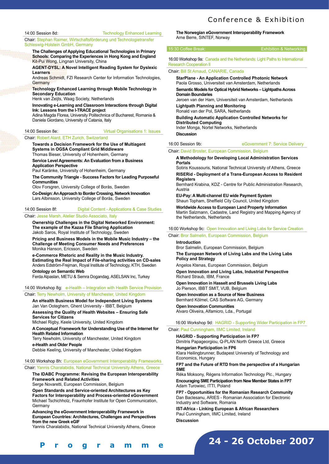14:00 Session 8d: Technology Enhanced Learning

Chair: Stephan Raimer, Wirtschaftsförderung und Technologietransfer Schleswig-Holstein GmbH, Germany

#### **The Challenges of Applying Educational Technologies in Primary Schools: Comparing the Experiences in Hong Kong and England** Kit-Pui Wong, Lingnan University, China

**AGENT-DYSL: A Novel Intelligent Reading System for Dyslexic Learners**

Andreas Schmidt, FZI Research Center for Information Technologies, **Germany** 

**Technology Enhanced Learning through Mobile Technology in Secondary Education**

Henk van Zeijts, Waag Society, Netherlands

**Innovating e-Learning and Classroom Interactions through Digital Ink: Lessons from the I-TRACE project** 

Adina Magda Florea, University Politechnica of Bucharest, Romania & Daniela Giordano, University of Catania, Italy

#### 14:00 Session 8e: Virtual Organisations 1: Issues

#### Chair: Robert Alard, ETH Zurich, Switzerland

#### **Towards a Decision Framework for the Use of Multiagent Systems in OGSA Compliant Grid Middleware** Thomas Bieser, University of Hohenheim, Germany

**Service Level Agreements: An Evaluation from a Business Application Perspective**

Paul Karänke, University of Hohenheim, Germany

**The Community Triangle - Success Factors for Leading Purposeful Communities** 

Olov Forsgren, University College of Borås, Sweden

**Co-Design: An Approach to Border Crossing, Network Innovation** Lars Albinsson, University College of Borås, Sweden

#### 14:00 Session 8f: Digital Content - Applications & Case Studies

#### Chair: Jesse Marsh, Atelier Studio Associato, Italy

**Ownership Challenges in the Digital Networked Environment: The example of the Kazaa File Sharing Application** Jakob Saros, Royal Institute of Technology, Sweden

**Pricing and Business Models in the Mobile Music Industry – the Challenge of Meeting Consumer Needs and Preferences** Monika Hanson, Ericsson, Sweden

**e-Commerce Rhetoric and Reality in the Music Industry. Estimating the Real Impact of File-sharing activities on CD-sales** Anders Edström-Frejman, Royal Institute of Technology, KTH, Sweden **Ontology on Semantic Web** 

Ferda Alpaslan, METU & Semra Dogandag, ASELSAN Inc, Turkey

14:00 Workshop 8g: e-Health – Integration with Health Service Provision

## Chair: Terry Newholm, University of Manchester, United Kingdom

**An eHealth Business Model for Independent Living Systems** Jan Van Ooteghem, Ghent University - IBBT, Belgium

**Assessing the Quality of Health Websites – Ensuring Safe Services for Citizens**

Michael Rigby, Keele University, United Kingdom

**A Conceptual Framework for Understanding Use of the Internet for Health Related Information**

Terry Newholm, University of Manchester, United Kingdom **e-Health and Older People** 

Debbie Keeling, University of Manchester, United Kingdom

#### 14:00 Workshop 8h: European eGovernment Interoperability Frameworks Chair: Yannis Charalabidis, National Technical University Athens, Greece

# **The IDABC Programme: Revising the European Interoperability**

#### **Framework and Related Activities** Serge Novaretti, European Commission, Belgium

**[ 1 0 - 1 1 ] F i n a l P r o g r a m m e**

**Open Standards and Service-oriented Architectures as Key Factors for Interoperability and Process-oriented eGovernment** Michael Tschichholz, Fraunhofer Institute for Open Communication, Germany

**Advancing the eGovernment Interoperability Framework in European Countries: Architectures, Challenges and Perspectives from the new Greek eGIF**

Yannis Charalabidis, National Technical University Athens, Greece

#### **The Norwegian eGovernment Interoperability Framework**  Arne Berre, SINTEF, Norway

#### 15:30 Coffee Break: **Exhibition & Networking**

16:00 Workshop 9a: Canada and the Netherlands: Light Paths to International Research Cooperation II

Chair: Bill St Arnaud, CANARIE, Canada

**StarPlane - An Application Controlled Photonic Network** Paola Grosso, Universiteit van Amsterdam, Netherlands **Semantic Models for Optical Hybrid Networks – Lightpaths Across Domain Boundaries**

Jeroen van der Ham, Universiteit van Amsterdam, Netherlands **Lightpath Planning and Monitoring**

Ronald van der Pol, SARA, Netherlands

**Building Automatic Application Controlled Networks for Distributed Computing** Inder Monga, Nortel Networks, Netherlands

**Discussion**

#### 16:00 Session 9b: eGovernment 7: Service Delivery

#### Chair: David Broster, European Commission, Belgium

**A Methodology for Developing Local Administration Services Portals**

Sotiris Koussouris, National Technical University of Athens, Greece **RISERid - Deployment of a Trans-European Access to Resident Registers**

Bernhard Krabina, KDZ - Centre for Public Administration Research, Austria

**EU-Pay: A Multi-channel EU wide Payment System** Shaun Topham, Sheffield City Council, United Kingdom **Worldwide Access to European Land Property Information**  Martin Salzmann, Cadastre, Land Registry and Mapping Agency of the Netherlands, Netherlands

16:00 Workshop 9c: Open Innovation and Living Labs for Service Creation

#### Chair: Bror Salmelin, European Commission, Belgium

#### **Introduction**

Bror Salmelin, European Commission, Belgium **The European Network of Living Labs and the Living Labs Policy and Strategy**

Angelos Ktenas, European Commission, Belgium **Open Innovation and Living Labs, Industrial Perspective** Richard Straub, IBM, France

**Open Innovation in Hasselt and Brussels Living Labs** Jo Pierson, IBBT SMIT, VUB, Belgium

**Open Innovation as a Source of New Business**  Bernhard Kölmel, CAS Software AG, Germany

**Open Innovation Communities**  Alvaro Oliveira, Alfamicro, Lda., Portugal

16:00 Workshop 9d: HAGRID - Supporting Wider Participation in FP7

#### Chair: Paul Cunningham, IIMC Limited, Ireland

**HAGRID - Supporting Participation in FP7**  Dimitris Papageorgiou, Q-PLAN North Greece Ltd, Greece

**Hungarian Participation in FP6** Klara Heilingbrunner, Budapest University of Technology and Economics, Hungary

#### **FP7 and the Future of RTD from the perspective of a Hungarian SME**

Réka Moksony, Régens Information Technology Plc., Hungary **Encouraging SME Participation from New Member States in FP7**  Adam Turowiec, ITTI, Poland

**FP7 - Opportunities for the Romanian Research Community** Dan Baclesanu, ARIES - Romanian Association for Electronic Industry and Software, Romania

**IST-Africa - Linking European & African Researchers** Paul Cunningham, IIMC Limited, Ireland **Discussion**

**24 - 26 October 2007**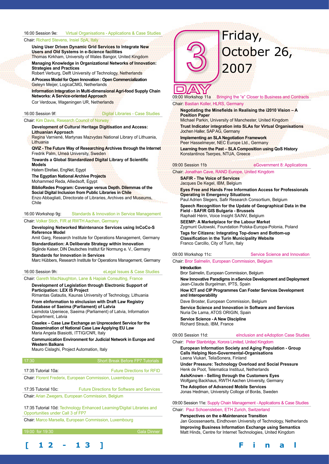#### 16:00 Session 9e: Virtual Organisations - Applications & Case Studies

#### Chair: Richard Stevens, Insiel SpA, Italy

**Using User Driven Dynamic Grid Services to Integrate New Users and Old Systems in e-Science facilities**

Thomas Kirkham, University of Wales Bangor, United Kingdom **Managing Knowledge in Organizational Networks of Innovation: Strategies and Practices**

Robert Verburg, Delft University of Technology, Netherlands **A Process Model for Open Innovation : Open Commercialization** 

Geleyn Meijer, LogicaCMG, Netherlands

**Information Integration in Multi-dimensional Agri-food Supply Chain Networks: A Service-oriented Approach** 

Cor Verdouw, Wageningen UR, Netherlands

### 16:00 Session 9f: Digital Libraries - Case Studies

#### Chair: Kim Davis, Research Council of Norway

**Development of Cultural Heritage Digitisation and Access: Lithuanian Approach**

Regina Varniené, Martynas Mazvydas National Library of Lithuania, **Lithuania** 

**QVIZ - The Future Way of Researching Archives through the Internet**  Fredrik Palm, Umeå University, Sweden

**Towards a Global Standardized Digital Library of Scientific Models**

Hatem Elrefaei, EngNet, Egypt

**The Egyptian National Archive Projects** 

Mohammed Reda, Alliedsoft, Egypt

**BiblioRedes Program: Coverage versus Depth. Dilemmas of the Social Digital Inclusion from Public Libraries in Chile**  Enzo Abbagliati, Directorate of Libraries, Archives and Museums, Chile

#### 16:00 Workshop 9g: Standards & Innovation in Service Management Chair: Volker Stich, FIR at RWTH Aachen, Germany

#### **Developing Networked Maintenance Services using InCoCo-S Reference Model**

Amit Garg, Research Institute for Operations Management, Germany **Standardization: A Deliberate Strategy within Innovation** Siglinde Kaiser, DIN Deutsches Institut für Normung e. V., Germany

**Standards for Innovation in Services**

Marc Hübbers, Research Institute for Operations Management, Germany

#### 16:00 Session 9h: eLegal Issues & Case Studies

# Chair: Gareth MacNaughton, Lane & Hapiak Consulting, France

#### **Development of Legislation through Electronic Support of Participation: LEX IS Project**

Rimantas Gatautis, Kaunas University of Technology, Lithuania **From eInformation to eInclusion with Draft Law Registry** 

**Database of Saeima (Parliament) of Latvia**  Laimdota Upeniece, Saeima (Parliament) of Latvia, Information

Department, Latvia

**Caselex – Case Law Exchange an Unprecedent Service for the Dissemination of National Case Law Applying EU Law** Maria Angela Biasiotti, ITTIG/CNR, Italy

**Communication Environment for Judicial Network in Europe and Western Balkans** 

Mauro Cislaghi, Project Automation, Italy

## 17:30 Short Break Before FP7 Tutorials

| 17:35 Tutorial 10a: |  |  |  |  | <b>Future Directions for RFID</b> |  |  |
|---------------------|--|--|--|--|-----------------------------------|--|--|
|                     |  |  |  |  |                                   |  |  |

Chair: Florent Frederix, European Commission, Luxembourg

17:35 Tutorial 10c: Future Directions for Software and Services

Chair: Arian Zwegers, European Commission, Belgium

17:35 Tutorial 10d: Technology Enhanced Learning/Digital Libraries and Opportunities under Call 3 of FP7

Chair: Marco Marsella, European Commission, Luxembourg



# Friday, October 26, 2007

09:00 Workshop 11a Bringing the "e" Closer to Business and Contracts Chair: Bastian Koller, HLRS, Germany

#### **Negotiating the Minefields in Realising the i2010 Vision – A Position Paper**

Michael Parkin, University of Manchester, United Kingdom **Trust Indicator integration into SLAs for Virtual Organisations** Jochen Haller, SAP AG, Germany

**Implementing an SLA Negotiation Framework**  Peer Hasselmeyer, NEC Europe Ltd., Germany **Learning from the Past – SLA Composition using QoS History**  Konstantinos Tserpes, NTUA, Greece

#### 09:00 Session 11b eGovernment 8: Applications

Chair: Jonathan Cave, RAND Europe, United Kingdom

**SAFIR - The Voice of Services** Jacques De Kegel, IBM, Belgium

**Eyes Free and Hands Free Information Access for Professionals Operating in Emergency Situations** Paul Adrien Slegers, Safir Research Consortium, Belgium **Speech Recognition for the Update of Geographical Data in the Field - SAFIR GIS Bulgaria - Brussels** 

Raphaël Hérin, Voice Insight SA/NV, Belgium

**SEEMP: A Marketplace for the Labour Market**  Zygmunt Gutowski, Foundation Polska-Europa-Polonia, Poland **Tags for Citizens: Integrating Top-down and Bottom-up Classification in the Turin Municipality Website**  Franco Carcillo, City of Turin, Italy

#### 09:00 Workshop 11c: Service Science and Innovation

#### Chair: Bror Salmelin, European Commission, Belgium

**Introduction** Bror Salmelin, European Commission, Belgium **New Innovative Paradigms in eService Development and Deployment** Jean-Claude Burgelman, IPTS, Spain **How ICT and CIP Programmes Can Foster Services Development and Interoperability** Dave Broster, European Commission, Belgium **Service Science and Innovation in Software and Services** Nuria De Lama, ATOS ORIGIN, Spain **Service Science - A New Discipline**

Richard Straub, IBM, France

#### 09:00 Session 11d: eInclusion and eAdoption Case Studies

Chair: Peter Stanbridge, Korora Limited, United Kingdom **European Information Society and Aging Population - Group Calls Helping Non-Govermental-Organisations** Leena Viukari, TeliaSonera, Finland

**Under Pressure: Technology Overload and Social Pressure** Henk de Poot, Telematica Instituut, Netherlands **AsIsKnown - Selling through the Customers Eyes**  Wolfgang Backhaus, RWTH Aachen University, Germany

**The Adoption of Advanced Mobile Services** Jonas Hedman, University Colloge of Borås, Sweden

09:00 Session 11e: Supply Chain Management - Applications & Case Studies

#### Chair: Paul Schoensleben, ETH Zurich, Switzerland

**Perspectives on the e-Maintenance Transition** Jan Goossenaerts, Eindhoven University of Technology, Netherlands **Improving Business Information Exchange using Semantics** Matt Hinds, Centre for Internet Technologies, United Kingdom

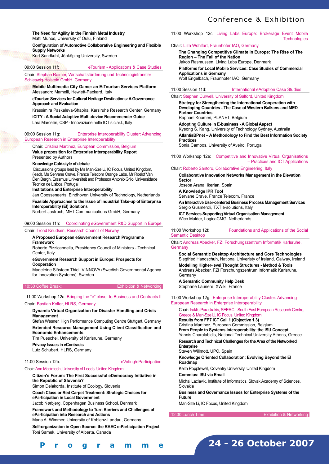**The Need for Agility in the Finnish Metal Industry**  Matti Muhos, University of Oulu, Finland

#### **Configuration of Automotive Collaborative Engineering and Flexible Supply Networks**

Kurt Sandkuhl, Jönköping University, Sweden

#### 09:00 Session 11f: eTourism - Applications & Case Studies

Chair: Stephan Raimer, Wirtschaftsförderung und Technologietransfer

# Schleswig-Holstein GmbH, Germany

**Mobile Multimedia City Game: an E-Tourism Services Platform** Alessandro Mamelli, Hewlett-Packard, Italy

#### **eTourism Services for Cultural Heritage Destinations: A Governance Approach and Evaluation**

Krassimira Paskaleva-Shapira, Karslruhe Research Center, Germany **iCITY - A Social Adaptive Multi-device Recommender Guide** Lara Marcellin, CSP - Innovazione nelle ICT s.c.ar.l., Italy

#### 09:00 Session 11g: Enterprise Interoperability Cluster: Advancing

European Research in Enterprise Interoperability

Chair: Cristina Martinez, European Commission, Belgium **Value proposition for Enterprise Interoperability Report**  Presented by Authors

#### **Knowledge Café-style of debate**

Discussions groups lead by Ms Man-Sze Li, IC Focus, United Kingdom, (lead), Ms Servane Crave, France Telecom Orange Labs, Mr Roelof Van Den Bergh, Erasmus Universiteit and Professor Antonio Grilo, Universidade Tecnica de Lisboa, Portugal

**Institutions and Enterprise Interoperability** 

Jan Goossenaerts, Eindhoven University of Technology, Netherlands

#### **Feasible Approaches to the Issue of Industrial Take-up of Enterprise Interoperability (EI) Solutions**

Norbert Jastroch, MET Communications GmbH, Germany

#### 09:00 Session 11h: Coordinating eGovernment R&D Support in Europe

#### Chair: Trond Knudsen, Research Council of Norway

#### **A Proposed European eGovernment Research Programme Framework**

Roberto Pizzicannella, Presidency Council of Ministers - Technical Center, Italy

#### **eGovernment Research Support in Europe: Prospects for Cooperation**

Madeleine Siösteen Thiel, VINNOVA (Swedish Governmental Agency for Innovation Systems), Sweden

10:30 Coffee Break: Exhibition & Networking

#### 11:00 Workshop 12a: Bringing the "e" closer to Business and Contracts II

#### Chair: Bastian Koller, HLRS, Germany

#### **Dynamic Virtual Organization for Disaster Handling and Crisis Management**

Stefan Wesner, High Performance Computing Centre Stuttgart, Germany **Extended Resource Management Using Client Classification and Economic Enhancements**

Tim Pueschel, University of Karlsruhe, Germany

## **Privacy Issues in eContracts**

Lutz Schubert, HLRS, Germany

#### 11:00 Session 12b: eVoting/eParticipation

#### Chair: Ann Macintosh, University of Leeds, United Kingdom

**Citizen's Forum: The First Successful eDemocracy Initiative in the Republic of Slovenia?**

Simon Delakorda, Institute of Ecology, Slovenia

**Coach Class or Red Carpet Treatment: Strategic Choices for eParticipation in Local Government**

Jacob Nørbjerg, Copenhagen Business School, Denmark

**Framework and Methodology to Turn Barriers and Challenges of eParticipation into Research and Actions** 

Maria A. Wimmer, University of Koblenz-Landau, Germany

**Self-organization in Open Source: the RAEC e-Participation Project**  Toni Samek, University of Alberta, Canada

#### 11:00 Workshop 12c: Living Labs Europe: Brokerage Event Mobile **Technologies**

#### Chair: Liza Wohlfart, Fraunhofer IAO, Germany

**The Changing Competitive Climate in Europe: The Rise of The Region – The Fall of the Nation** Jakob Rasmussen, Living Labs Europe, Denmark **Platforms for Local Mobile Services: Case Studies of Commercial Applications in Germany** Wolf Engelbach, Fraunhofer IAO, Germany

11:00 Session 11d: International eAdoption Case Studies

Chair: Stephen Curwell, University of Salford, United Kingdom

#### **Strategy for Strengthening the International Cooperation with Developing Countries - The Case of Western Balkans and MED Partner Countries** Raphael Koumeri, PLANET, Belgium **Adopting Culture in E-business - A Global Aspect** Kyeong S. Kang, University of Technology Sydney, Australia **AtlantisBPnet – A Methodology to Find the Best Information Society Practices** Sónia Campos, University of Aveiro, Portugal

11:00 Workshop 12e: Competitive and Innovative Virtual Organisations – Practices and ICT Applications

#### Chair: Roberto Santoro, Collaborative Engineering, Italy

**Collaborative Innovation Networks Management in the Elevation Sector** Joseba Arana, Ikerlan, Spain **A Knowledge IPR Tool**  Servane Crave, France Telecom, France **An Interactive User-centered Business Process Management Services** Sergio Gusmeroli, TXT e-solutions, Italy **ICT Services Supporting Virtual Organisation Management** Wico Mulder, LogicaCMG, Netherlands

11:00 Workshop 12f: Foundations and Applications of the Social Semantic Desktop

#### Chair: Andreas Abecker, FZI Forschungszentrum Informatik Karlsruhe, Germany

**Social Semantic Desktop Architecture and Core Technologies**  Siegfried Handschuh, National Univeristy of Ireland, Galway, Ireland **Modelling Higher-level Thought Structures - Method & Tools** Andreas Abecker, FZI Forschungszentrum Informatik Karlsruhe, **Germany** 

**A Semantic Community Help Desk** Stephane Lauriere, XWiki, France

11:00 Workshop 12g: Enterprise Interoperability Cluster: Advancing European Research in Enterprise Interoperability

#### Chair: Iraklis Paraskakis, SEERC - South East European Research Centre, Greece & Man-Sze Li, IC Focus, United Kingdom

**Results from FP7 ICT Call 1 (Objective 1.3)**  Cristina Martinez, European Commission, Belgium **From People to Systems Interoperability: the ISU Concept**  Yannis Charalabidis, National Technical University Athens, Greece **Research and Technical Challenges for the Area of the Networked Enterprise**  Steven Willmott, UPC, Spain **Knowledge Oriented Collaboration: Evolving Beyond the EI Roadmap** 

Keith Popplewell, Coventry University, United Kingdom

**Commius: ISU via Email** 

Michal Laclavik, Institute of Informatics, Slovak Academy of Sciences, Slovakia

**Business and Governance Issues for Enterprise Systems of the Future** 

Man-Sze Li, IC Focus, United Kingdom



| Programme |  |  |  |
|-----------|--|--|--|
|-----------|--|--|--|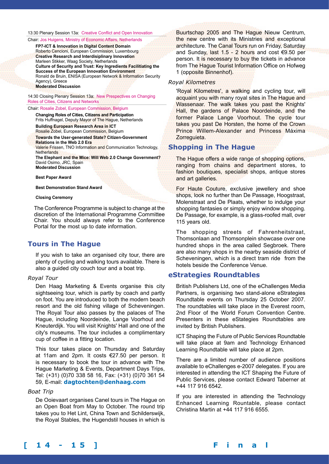13:30 Plenary Session 13a: Creative Conflict and Open Innovation

Chair: Jos Huigens, Ministry of Economic Affairs, Netherlands

**FP7-ICT & Innovation in Digital Content Domain**  Roberto Cencioni, European Commission, Luxembourg **Creative Research and Interdisiplinary Innovation**  Marleen Stikker, Waag Society, Netherlands **Culture of Security and Trust: Key Ingredients Facilitiating the Success of the European Innovation Environment**  Ronald de Bruin, ENISA (European Network & Information Security Agency), Greece **Moderated Discussion**

14:30 Closing Plenary Session 13a: New Prespectives on Changing Roles of Cities, Citizens and Networks

#### Chair: Rosalie Zobel, European Commission, Belgium

**Changing Roles of Cities, Citizens and Participation** Frits Huffnagel, Deputy Mayor of The Hague, Netherlands **Building European Research Area in ICT**

Rosalie Zobel, European Commission, Belgium

#### **Towards the User-generated State? Citizen-Government Relations in the Web 2.0 Era**

Valerie Frissen, TNO Information and Communication Technology, **Netherlands** 

**The Elephant and the Mice: Will Web 2.0 Change Government?** David Osimo, JRC, Spain **Moderated Discussion** 

**Best Paper Award** 

**Best Demonstration Stand Award** 

#### **Closing Ceremony**

The Conference Programme is subject to change at the discretion of the International Programme Committee Chair. You should always refer to the Conference Portal for the most up to date information.

# **Tours in The Hague**

If you wish to take an organised city tour, there are plenty of cycling and walking tours available. There is also a guided city couch tour and a boat trip.

#### *Royal Tour*

Den Haag Marketing & Events organise this city sightseeing tour, which is partly by coach and partly on foot. You are introduced to both the modern beach resort and the old fishing village of Scheveningen. The Royal Tour also passes by the palaces of The Hague, including Noordeinde, Lange Voorhout and Kneuterdijk. You will visit Knights' Hall and one of the city's museums. The tour includes a complimentary cup of coffee in a fitting location.

This tour takes place on Thursday and Saturday at 11am and 2pm. It costs €27.50 per person. It is necessary to book the tour in advance with The Hague Marketing & Events, Department Days Trips, Tel: (+31) (0)70 338 58 16, Fax: (+31) (0)70 361 54 59, E-mail: **dagtochten@denhaag.com**

#### *Boat Trip*

De Ooievaart organises Canel tours in The Hague on an Open Boat from May to October. The round trip takes you to Het Lint, China Town and Schilderswijk, the Royal Stables, the Hugendstil houses in which is

Buurtschap 2005 and The Hague Nieuw Centrum, the new centre with its Ministries and exceptional architecture. The Canal Tours run on Friday, Saturday and Sunday, last 1.5 - 2 hours and cost €9.50 per person. It is necessary to buy the tickets in advance from The Hague Tourist Information Office on Hofweg 1 (opposite Binnenhof).

### *Royal Kilometres*

'Royal Kilometres', a walking and cycling tour, will acquaint you with many royal sites in The Hague and Wassenaar. The walk takes you past the Knights' Hall, the gardens of Palace Noordeinde, and the former Palace Lange Voorhout. The cycle tour takes you past De Horsten, the home of the Crown Prince Willem-Alexander and Princess Máxima Zorreguieta.

# **Shopping in The Hague**

The Hague offers a wide range of shopping options, ranging from chains and department stores, to fashion boutiques, specialist shops, antique stores and art galleries.

For Haute Couture, exclusive jewellery and shoe shops, look no further than De Passage, Hoogstraat, Molenstraat and De Plaats, whether to indulge your shopping fantasies or simply enjoy window shopping. De Passage, for example, is a glass-roofed mall, over 115 years old.

The shopping streets of Fahrenheitstraat, Thomsonlaan and Thomsonplein showcase over one hundred shops in the area called Segbroek. There are also many shops in the nearby seaside district of Scheveningen, which is a direct tram ride from the hotels beside the Conference Venue.

## **eStrategies Roundtables**

British Publishers Ltd, one of the eChallenges Media Partners, is organising two stand-alone eStrategies Roundtable events on Thursday 25 October 2007. The roundtables will take place in the Everest room, 2nd Floor of the World Forum Convention Centre. Presenters in these eStategies Roundtables are invited by British Publishers.

ICT Shaping the Future of Public Services Roundtable will take place at 9am and Technology Enhanced Learning Roundtable will take place at 2pm.

There are a limited number of audience positions available to eChallenges e-2007 delegates. If you are interested in attending the ICT Shaping the Future of Public Services, please contact Edward Taberner at +44 117 916 6542.

If you are interested in attending the Technology Enhanced Learning Rountable, please contact Christina Martin at +44 117 916 6555.

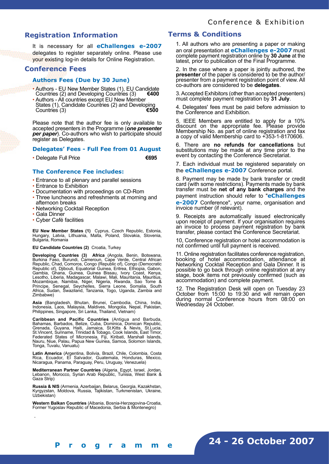# **Registration Information**

It is necessary for all **eChallenges e-2007** delegates to register separately online. Please use your existing log-in details for Online Registration.

# **Conference Fees**

## **Authors Fees (Due by 30 June)**

- Authors EU New Member States (1), EU Candidate Countries (2) and Developing Countries (3) Countries (2) and Developing Countries (3)
- Authors All countries except EU New Member States (1), Candidate Countries (2) and Developing<br>Countries (3) Countries (3)

Please note that the author fee is only available to accepted presenters in the Programme (*one presenter per paper*). Co-authors who wish to participate should register as Delegates.

### **Delegates' Fees - Full Fee from 01 August**

• Delegate Full Price **€695**

## **The Conference Fee includes:**

- Entrance to all plenary and parallel sessions
- Entrance to Exhibition
- Documentation with proceedings on CD-Rom
- Three luncheons and refreshments at morning and afternoon breaks
- Networking Cocktail Reception
- Gala Dinner

.

**[ 1 4 - 1 5 ] F i n a l P r o g r a m m e**

• Cyber Café facilities

**EU New Member States (1)** Cyprus, Czech Republic, Estonia, Hungary, Latvia, Lithuania, Malta, Poland, Slovakia, Slovenia, Bulgaria, Romania

#### **EU Candidate Countries (2)** Croatia, Turkey

**Developing Countries (3) Africa** (Angola, Benin, Botswana, Burkina Faso, Burundi, Cameroun, Cape Verde, Central African Republic, Chad, Comoros, Congo (Republic of), Congo (Democratic Republic of), Djibouti, Equatorial Guinea, Eritrea, Ethiopia, Gabon, Gambia, Ghana, Guinea, Guinea Bissau, Ivory Coast, Kenya, Lesotho, Liberia, Madagascar, Malawi, Mali, Mauritania, Mauritius, Mozambique, Namibia, Niger, Nigeria, Rwanda, Sao Tome & Principe, Senegal, Seychelles, Sierra Leone, Somalia, South Africa, Sudan, Swaziland, Tanzania, Togo, Uganda, Zambia and Zimbabwe)

**Asia** (Bangladesh, Bhutan, Brunei, Cambodia, China, India, Indonesia, Laos, Malaysia, Maldives, Mongolia, Nepal, Pakistan, Philippines, Singapore, Sri Lanka, Thailand, Vietnam)

**Caribbean and Pacific Countries** (Antigua and Barbuda, Bahamas, Barbados, Belize, Cuba, Dominica, Domican Republic, Grenada, Guyana, Haiti, Jamaica, St.Kitts & Nevis, St.Lucia, St.Vincent, Suriname, Trinidad & Tobago, Cook Islands, East Timor, Federated States of Micronesia, Fiji, Kiribati, Marshall Islands, Nauru, Niue, Palau, Papua New Guinea, Samoa, Solomon Islands, Tonga, Tuvalu, Vanuatu)

**Latin America** (Argentina, Bolivia, Brazil, Chile, Colombia, Costa Rica, Ecuador, El Salvador, Guatemala, Honduras, Mexico, Nicaragua, Panama, Paraguay, Peru, Uruguay, Venezuela)

**Mediterranean Partner Countries** (Algeria, Egypt, Israel, Jordan, Lebanon, Morocco, Syrian Arab Republic, Tunisia, West Bank & Gaza Strip)

**Russia & NIS** (Armenia, Azerbaijan, Belarus, Georgia, Kazakhstan, Kyrgyzstan, Moldova, Russia, Tajikistan, Turkmenistan, Ukraine, Uzbekistan)

**Western Balkan Countries** (Albania, Bosnia-Herzegovina-Croatia, Former Yugoslav Republic of Macedonia, Serbia & Montenegro)

# **Terms & Conditions**

1. All authors who are presenting a paper or making an oral presentation at **eChallenges e-2007** must complete payment registration online by **30 June** at the latest, prior to publication of the Final Programme.

2. In the case where a paper is jointly authored, the **presenter** of the paper is considered to be the author/ presenter from a payment registration point of view. All co-authors are considered to be **delegates**.

3. Accepted Exhibitors (other than accepted presenters) must complete payment registration by **31 July**.

4. Delegates' fees must be paid before admission to the Conference and Exhibition.

5. IEEE Members are entitled to apply for a 10% discount on the appropriate fee. Please provide Membership No. as part of online registration and fax a copy of valid Membership card to +353-1-8170606.

6. There are **no refunds for cancellations** but substitutions may be made at any time prior to the event by contacting the Conference Secretariat.

7. Each individual must be registered separately on the **eChallenges e-2007** Conference portal.

8. Payment may be made by bank transfer or credit card (with some restrictions). Payments made by bank transfer must be **net of any bank charges** and the payment instruction should refer to "**eChallenges e-2007** Conference", your name, organisation and invoice number (if relevant).

9. Receipts are automatically issued electronically upon receipt of payment. If your organisation requires an invoice to process payment registration by bank transfer, please contact the Conference Secretariat.

10, Conference registration or hotel accommodation is not confirmed until full payment is received.

11. Online registration facilitates conference registration, booking of hotel accommodation, attendance at Networking Cocktail Reception and Gala Dinner. It is possible to go back through online registration at any stage, book items not previously confirmed (such as accommodation) and complete payment.

12. The Registration Desk will open on Tuesday 23 October from 15:00 to 19:30 and will remain open during normal Conference hours from 08:00 on Wednesday 24 October.

**24 - 26 October 2007**